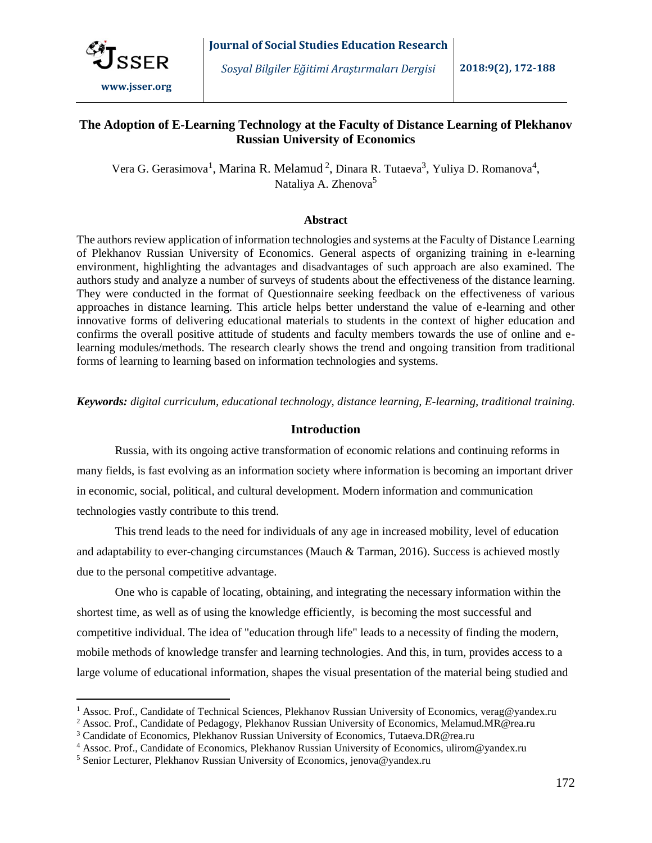

 $\overline{a}$ 

## **The Adoption of E-Learning Technology at the Faculty of Distance Learning of Plekhanov Russian University of Economics**

Vera G. Gerasimova<sup>1</sup>, Marina R. Melamud<sup>2</sup>, Dinara R. Tutaeva<sup>3</sup>, Yuliya D. Romanova<sup>4</sup>, Nataliya A. Zhenova<sup>5</sup>

#### **Abstract**

The authors review application of information technologies and systems at the Faculty of Distance Learning of Plekhanov Russian University of Economics. General aspects of organizing training in e-learning environment, highlighting the advantages and disadvantages of such approach are also examined. The authors study and analyze a number of surveys of students about the effectiveness of the distance learning. They were conducted in the format of Questionnaire seeking feedback on the effectiveness of various approaches in distance learning. This article helps better understand the value of e-learning and other innovative forms of delivering educational materials to students in the context of higher education and confirms the overall positive attitude of students and faculty members towards the use of online and elearning modules/methods. The research clearly shows the trend and ongoing transition from traditional forms of learning to learning based on information technologies and systems.

*Keywords: digital curriculum, educational technology, distance learning, E-learning, traditional training.*

#### **Introduction**

Russia, with its ongoing active transformation of economic relations and continuing reforms in many fields, is fast evolving as an information society where information is becoming an important driver in economic, social, political, and cultural development. Modern information and communication technologies vastly contribute to this trend.

This trend leads to the need for individuals of any age in increased mobility, level of education and adaptability to ever-changing circumstances (Mauch & Tarman, 2016). Success is achieved mostly due to the personal competitive advantage.

One who is capable of locating, obtaining, and integrating the necessary information within the shortest time, as well as of using the knowledge efficiently, is becoming the most successful and competitive individual. The idea of "education through life" leads to a necessity of finding the modern, mobile methods of knowledge transfer and learning technologies. And this, in turn, provides access to a large volume of educational information, shapes the visual presentation of the material being studied and

<sup>&</sup>lt;sup>1</sup> Assoc. Prof., Candidate of Technical Sciences, Plekhanov Russian University of Economics, [verag@yandex.ru](mailto:verag@yandex.ru)

<sup>&</sup>lt;sup>2</sup> Assoc. Prof., Candidate of Pedagogy, Plekhanov Russian University of Economics, Melamud.MR@rea.ru

<sup>3</sup> Candidate of Economics, Plekhanov Russian University of Economics, Tutaeva.DR@rea.ru

<sup>4</sup> Assoc. Prof., Candidate of Economics, Plekhanov Russian University of Economics, ulirom@yandex.ru

<sup>5</sup> Senior Lecturer, Plekhanov Russian University of Economics, [jenova@yandex.ru](mailto:jenova@yandex.ru)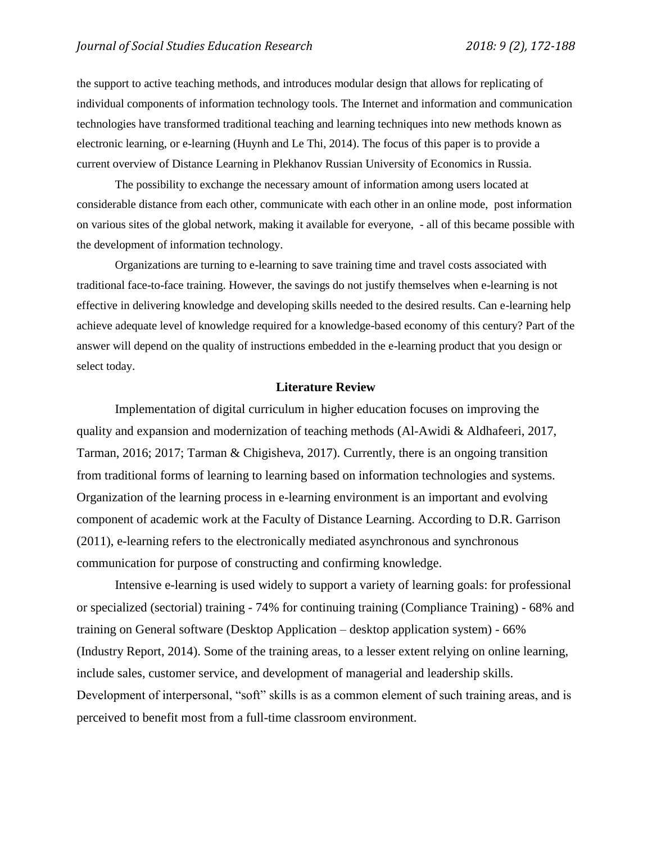the support to active teaching methods, and introduces modular design that allows for replicating of individual components of information technology tools. The Internet and information and communication technologies have transformed traditional teaching and learning techniques into new methods known as electronic learning, or e-learning (Huynh and Le Thi, 2014). The focus of this paper is to provide a current overview of Distance Learning in Plekhanov Russian University of Economics in Russia.

The possibility to exchange the necessary amount of information among users located at considerable distance from each other, communicate with each other in an online mode, post information on various sites of the global network, making it available for everyone, - all of this became possible with the development of information technology.

Organizations are turning to e-learning to save training time and travel costs associated with traditional face-to-face training. However, the savings do not justify themselves when e-learning is not effective in delivering knowledge and developing skills needed to the desired results. Can e-learning help achieve adequate level of knowledge required for a knowledge-based economy of this century? Part of the answer will depend on the quality of instructions embedded in the e-learning product that you design or select today.

### **Literature Review**

Implementation of digital curriculum in higher education focuses on improving the quality and expansion and modernization of teaching methods (Al-Awidi & Aldhafeeri, 2017, Tarman, 2016; 2017; Tarman & Chigisheva, 2017). Currently, there is an ongoing transition from traditional forms of learning to learning based on information technologies and systems. Organization of the learning process in e-learning environment is an important and evolving component of academic work at the Faculty of Distance Learning. According to D.R. Garrison (2011), e-learning refers to the electronically mediated asynchronous and synchronous communication for purpose of constructing and confirming knowledge.

Intensive e-learning is used widely to support a variety of learning goals: for professional or specialized (sectorial) training - 74% for continuing training (Compliance Training) - 68% and training on General software (Desktop Application – desktop application system) - 66% (Industry Report, 2014). Some of the training areas, to a lesser extent relying on online learning, include sales, customer service, and development of managerial and leadership skills. Development of interpersonal, "soft" skills is as a common element of such training areas, and is perceived to benefit most from a full-time classroom environment.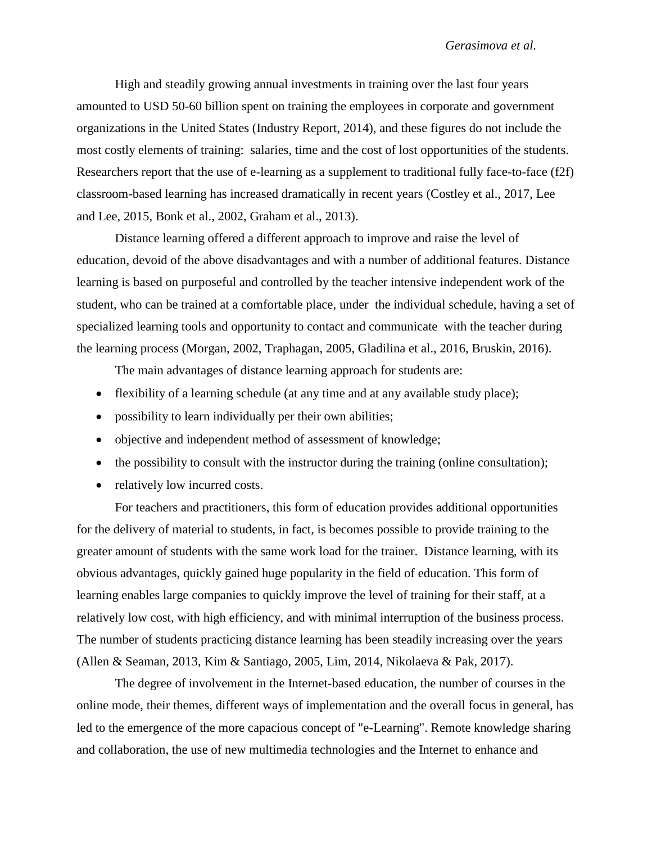High and steadily growing annual investments in training over the last four years amounted to USD 50-60 billion spent on training the employees in corporate and government organizations in the United States (Industry Report, 2014), and these figures do not include the most costly elements of training: salaries, time and the cost of lost opportunities of the students. Researchers report that the use of e-learning as a supplement to traditional fully face-to-face (f2f) classroom-based learning has increased dramatically in recent years (Costley et al., 2017, Lee and Lee, 2015, Bonk et al., 2002, Graham et al., 2013).

Distance learning offered a different approach to improve and raise the level of education, devoid of the above disadvantages and with a number of additional features. Distance learning is based on purposeful and controlled by the teacher intensive independent work of the student, who can be trained at a comfortable place, under the individual schedule, having a set of specialized learning tools and opportunity to contact and communicate with the teacher during the learning process (Morgan, 2002, Traphagan, 2005, Gladilina et al., 2016, Bruskin, 2016).

The main advantages of distance learning approach for students are:

- flexibility of a learning schedule (at any time and at any available study place);
- possibility to learn individually per their own abilities;
- objective and independent method of assessment of knowledge;
- $\bullet$  the possibility to consult with the instructor during the training (online consultation);
- relatively low incurred costs.

For teachers and practitioners, this form of education provides additional opportunities for the delivery of material to students, in fact, is becomes possible to provide training to the greater amount of students with the same work load for the trainer. Distance learning, with its obvious advantages, quickly gained huge popularity in the field of education. This form of learning enables large companies to quickly improve the level of training for their staff, at a relatively low cost, with high efficiency, and with minimal interruption of the business process. The number of students practicing distance learning has been steadily increasing over the years (Allen & Seaman, 2013, Kim & Santiago, 2005, Lim, 2014, Nikolaeva & Pak, 2017).

The degree of involvement in the Internet-based education, the number of courses in the online mode, their themes, different ways of implementation and the overall focus in general, has led to the emergence of the more capacious concept of "e-Learning". Remote knowledge sharing and collaboration, the use of new multimedia technologies and the Internet to enhance and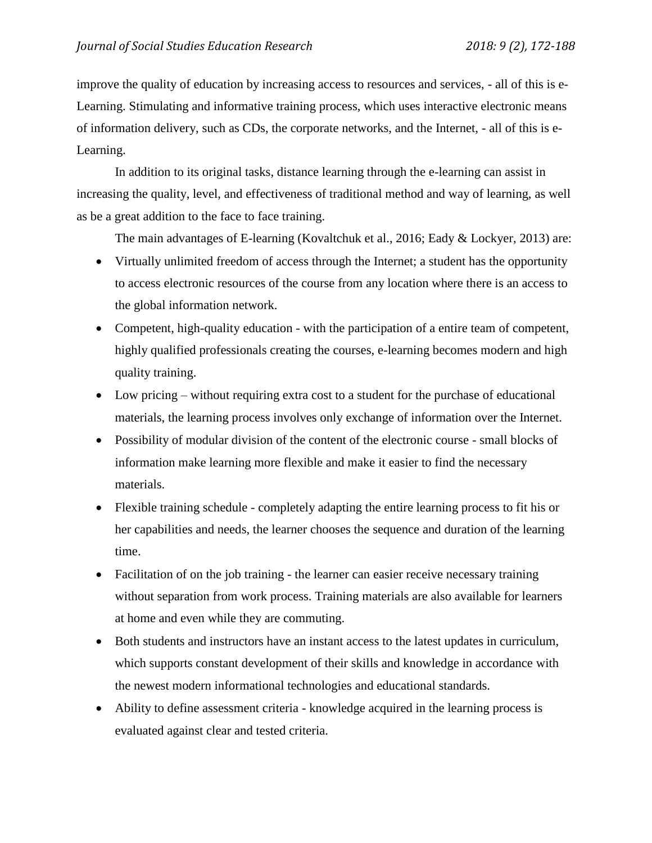improve the quality of education by increasing access to resources and services, - all of this is e-Learning. Stimulating and informative training process, which uses interactive electronic means of information delivery, such as CDs, the corporate networks, and the Internet, - all of this is e-Learning.

In addition to its original tasks, distance learning through the e-learning can assist in increasing the quality, level, and effectiveness of traditional method and way of learning, as well as be a great addition to the face to face training.

The main advantages of E-learning (Kovaltchuk et al., 2016; Eady & Lockyer, 2013) are:

- Virtually unlimited freedom of access through the Internet; a student has the opportunity to access electronic resources of the course from any location where there is an access to the global information network.
- Competent, high-quality education with the participation of a entire team of competent, highly qualified professionals creating the courses, e-learning becomes modern and high quality training.
- Low pricing without requiring extra cost to a student for the purchase of educational materials, the learning process involves only exchange of information over the Internet.
- Possibility of modular division of the content of the electronic course small blocks of information make learning more flexible and make it easier to find the necessary materials.
- Flexible training schedule completely adapting the entire learning process to fit his or her capabilities and needs, the learner chooses the sequence and duration of the learning time.
- Facilitation of on the job training the learner can easier receive necessary training without separation from work process. Training materials are also available for learners at home and even while they are commuting.
- Both students and instructors have an instant access to the latest updates in curriculum, which supports constant development of their skills and knowledge in accordance with the newest modern informational technologies and educational standards.
- Ability to define assessment criteria knowledge acquired in the learning process is evaluated against clear and tested criteria.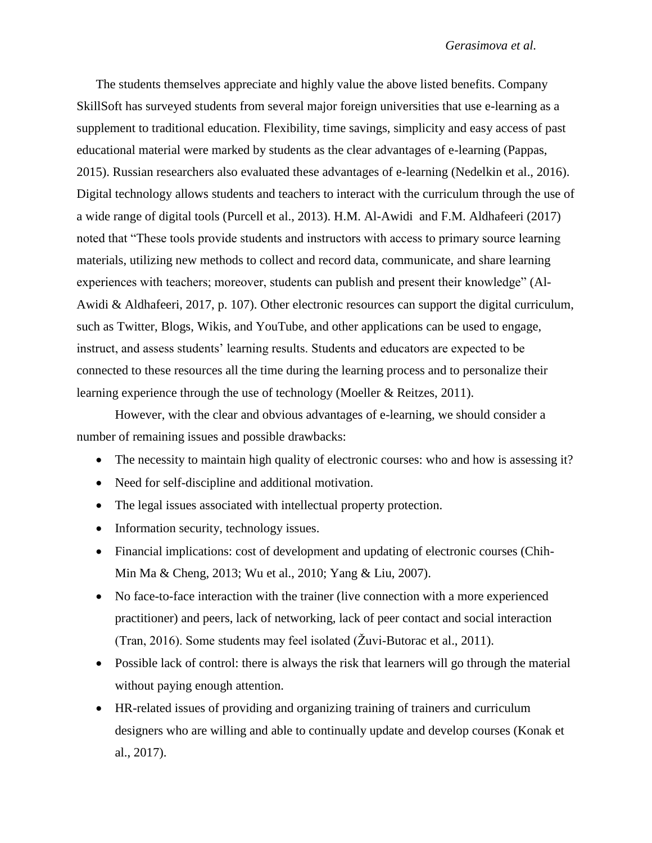The students themselves appreciate and highly value the above listed benefits. Company SkillSoft has surveyed students from several major foreign universities that use e-learning as a supplement to traditional education. Flexibility, time savings, simplicity and easy access of past educational material were marked by students as the clear advantages of e-learning (Pappas, 2015). Russian researchers also evaluated these advantages of e-learning (Nedelkin et al., 2016). Digital technology allows students and teachers to interact with the curriculum through the use of a wide range of digital tools (Purcell et al., 2013). H.M. Al-Awidi and F.M. Aldhafeeri (2017) noted that "These tools provide students and instructors with access to primary source learning materials, utilizing new methods to collect and record data, communicate, and share learning experiences with teachers; moreover, students can publish and present their knowledge" (Al-Awidi & Aldhafeeri, 2017, p. 107). Other electronic resources can support the digital curriculum, such as Twitter, Blogs, Wikis, and YouTube, and other applications can be used to engage, instruct, and assess students' learning results. Students and educators are expected to be connected to these resources all the time during the learning process and to personalize their learning experience through the use of technology (Moeller & Reitzes, 2011).

However, with the clear and obvious advantages of e-learning, we should consider a number of remaining issues and possible drawbacks:

- The necessity to maintain high quality of electronic courses: who and how is assessing it?
- Need for self-discipline and additional motivation.
- The legal issues associated with intellectual property protection.
- Information security, technology issues.
- Financial implications: cost of development and updating of electronic courses (Chih-Min Ma & Cheng, 2013; Wu et al., 2010; Yang & Liu, 2007).
- No face-to-face interaction with the trainer (live connection with a more experienced practitioner) and peers, lack of networking, lack of peer contact and social interaction (Tran, 2016). Some students may feel isolated (Žuvi-Butorac et al., 2011).
- Possible lack of control: there is always the risk that learners will go through the material without paying enough attention.
- HR-related issues of providing and organizing training of trainers and curriculum designers who are willing and able to continually update and develop courses (Konak et al., 2017).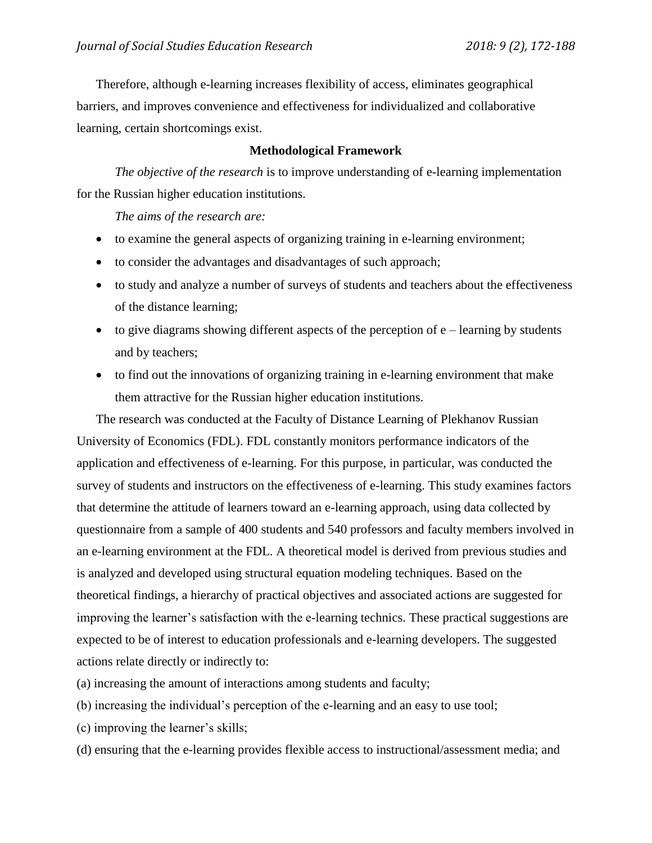Therefore, although e-learning increases flexibility of access, eliminates geographical barriers, and improves convenience and effectiveness for individualized and collaborative learning, certain shortcomings exist.

## **Methodological Framework**

*The objective of the research* is to improve understanding of e-learning implementation for the Russian higher education institutions.

*The aims of the research are:*

- to examine the general aspects of organizing training in e-learning environment;
- to consider the advantages and disadvantages of such approach;
- to study and analyze a number of surveys of students and teachers about the effectiveness of the distance learning;
- $\bullet$  to give diagrams showing different aspects of the perception of  $e$  learning by students and by teachers;
- to find out the innovations of organizing training in e-learning environment that make them attractive for the Russian higher education institutions.

The research was conducted at the Faculty of Distance Learning of Plekhanov Russian University of Economics (FDL). FDL constantly monitors performance indicators of the application and effectiveness of e-learning. For this purpose, in particular, was conducted the survey of students and instructors on the effectiveness of e-learning. This study examines factors that determine the attitude of learners toward an e-learning approach, using data collected by questionnaire from a sample of 400 students and 540 professors and faculty members involved in an e-learning environment at the FDL. A theoretical model is derived from previous studies and is analyzed and developed using structural equation modeling techniques. Based on the theoretical findings, a hierarchy of practical objectives and associated actions are suggested for improving the learner's satisfaction with the e-learning technics. These practical suggestions are expected to be of interest to education professionals and e-learning developers. The suggested actions relate directly or indirectly to:

- (a) increasing the amount of interactions among students and faculty;
- (b) increasing the individual's perception of the e-learning and an easy to use tool;
- (c) improving the learner's skills;
- (d) ensuring that the e-learning provides flexible access to instructional/assessment media; and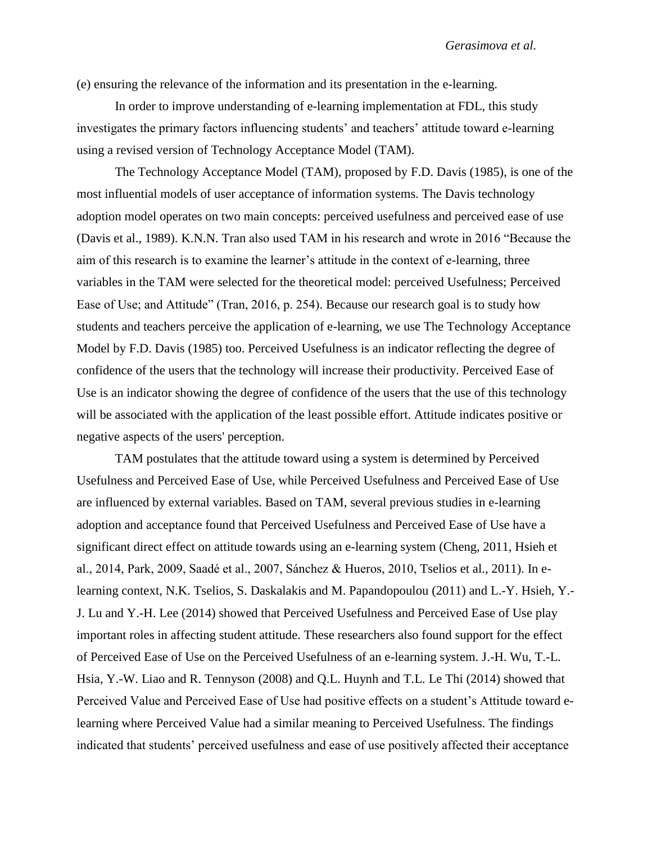(e) ensuring the relevance of the information and its presentation in the e-learning.

In order to improve understanding of e-learning implementation at FDL, this study investigates the primary factors influencing students' and teachers' attitude toward e-learning using a revised version of Technology Acceptance Model (TAM).

The Technology Acceptance Model (TAM), proposed by F.D. Davis (1985), is one of the most influential models of user acceptance of information systems. The Davis technology adoption model operates on two main concepts: perceived usefulness and perceived ease of use (Davis et al., 1989). K.N.N. Tran also used TAM in his research and wrote in 2016 "Because the aim of this research is to examine the learner's attitude in the context of e-learning, three variables in the TAM were selected for the theoretical model: perceived Usefulness; Perceived Ease of Use; and Attitude" (Tran, 2016, p. 254). Because our research goal is to study how students and teachers perceive the application of e-learning, we use The Technology Acceptance Model by F.D. Davis (1985) too. Perceived Usefulness is an indicator reflecting the degree of confidence of the users that the technology will increase their productivity. Perceived Ease of Use is an indicator showing the degree of confidence of the users that the use of this technology will be associated with the application of the least possible effort. Attitude indicates positive or negative aspects of the users' perception.

TAM postulates that the attitude toward using a system is determined by Perceived Usefulness and Perceived Ease of Use, while Perceived Usefulness and Perceived Ease of Use are influenced by external variables. Based on TAM, several previous studies in e-learning adoption and acceptance found that Perceived Usefulness and Perceived Ease of Use have a significant direct effect on attitude towards using an e-learning system (Cheng, 2011, Hsieh et al., 2014, Park, 2009, Saadé et al., 2007, Sánchez & Hueros, 2010, Tselios et al., 2011). In elearning context, N.K. Tselios, S. Daskalakis and M. Papandopoulou (2011) and L.-Y. Hsieh, Y.- J. Lu and Y.-H. Lee (2014) showed that Perceived Usefulness and Perceived Ease of Use play important roles in affecting student attitude. These researchers also found support for the effect of Perceived Ease of Use on the Perceived Usefulness of an e-learning system. J.-H. Wu, T.-L. Hsia, Y.-W. Liao and R. Tennyson (2008) and Q.L. Huynh and T.L. Le Thi (2014) showed that Perceived Value and Perceived Ease of Use had positive effects on a student's Attitude toward elearning where Perceived Value had a similar meaning to Perceived Usefulness. The findings indicated that students' perceived usefulness and ease of use positively affected their acceptance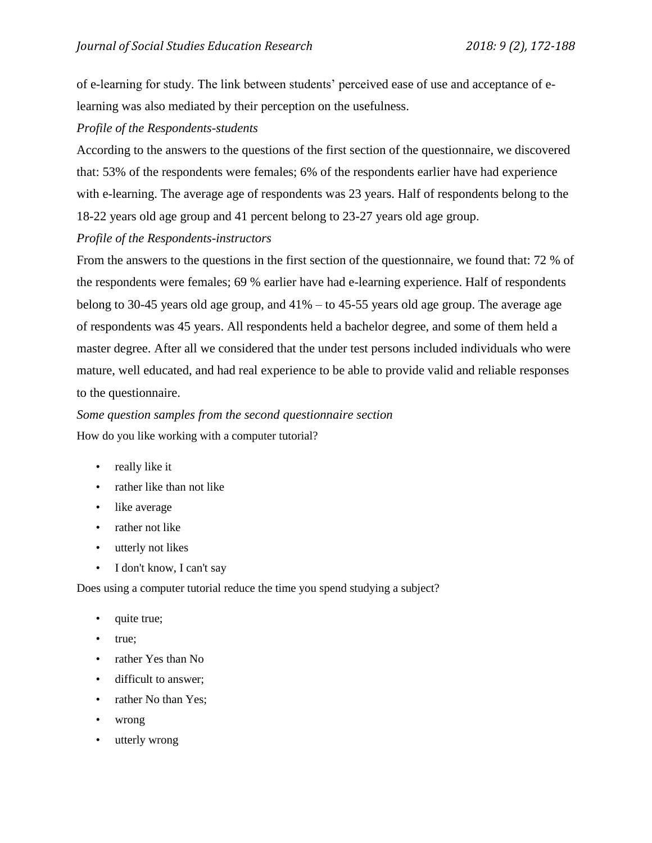of e-learning for study. The link between students' perceived ease of use and acceptance of elearning was also mediated by their perception on the usefulness.

## *Profile of the Respondents-students*

According to the answers to the questions of the first section of the questionnaire, we discovered that: 53% of the respondents were females; 6% of the respondents earlier have had experience with e-learning. The average age of respondents was 23 years. Half of respondents belong to the 18-22 years old age group and 41 percent belong to 23-27 years old age group.

# *Profile of the Respondents-instructors*

From the answers to the questions in the first section of the questionnaire, we found that: 72 % of the respondents were females; 69 % earlier have had e-learning experience. Half of respondents belong to 30-45 years old age group, and 41% – to 45-55 years old age group. The average age of respondents was 45 years. All respondents held a bachelor degree, and some of them held a master degree. After all we considered that the under test persons included individuals who were mature, well educated, and had real experience to be able to provide valid and reliable responses to the questionnaire.

# *Some question samples from the second questionnaire section*  How do you like working with a computer tutorial?

- really like it
- rather like than not like
- like average
- rather not like
- utterly not likes
- I don't know, I can't say

Does using a computer tutorial reduce the time you spend studying a subject?

- quite true;
- true;
- rather Yes than No
- difficult to answer;
- rather No than Yes:
- wrong
- utterly wrong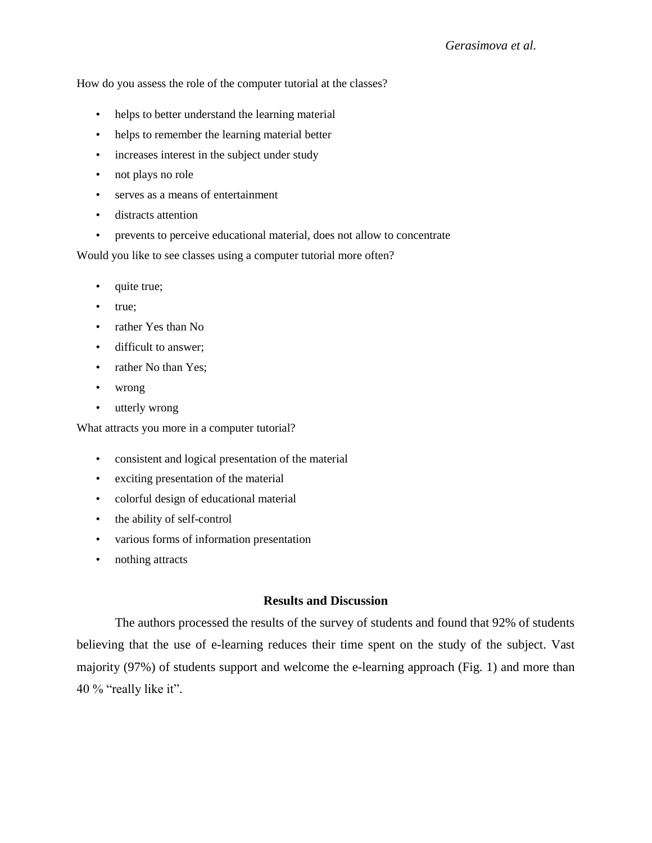How do you assess the role of the computer tutorial at the classes?

- helps to better understand the learning material
- helps to remember the learning material better
- increases interest in the subject under study
- not plays no role
- serves as a means of entertainment
- distracts attention
- prevents to perceive educational material, does not allow to concentrate

Would you like to see classes using a computer tutorial more often?

- quite true;
- true;
- rather Yes than No
- difficult to answer;
- rather No than Yes;
- wrong
- utterly wrong

What attracts you more in a computer tutorial?

- consistent and logical presentation of the material
- exciting presentation of the material
- colorful design of educational material
- the ability of self-control
- various forms of information presentation
- nothing attracts

### **Results and Discussion**

The authors processed the results of the survey of students and found that 92% of students believing that the use of e-learning reduces their time spent on the study of the subject. Vast majority (97%) of students support and welcome the e-learning approach (Fig. 1) and more than 40 % "really like it".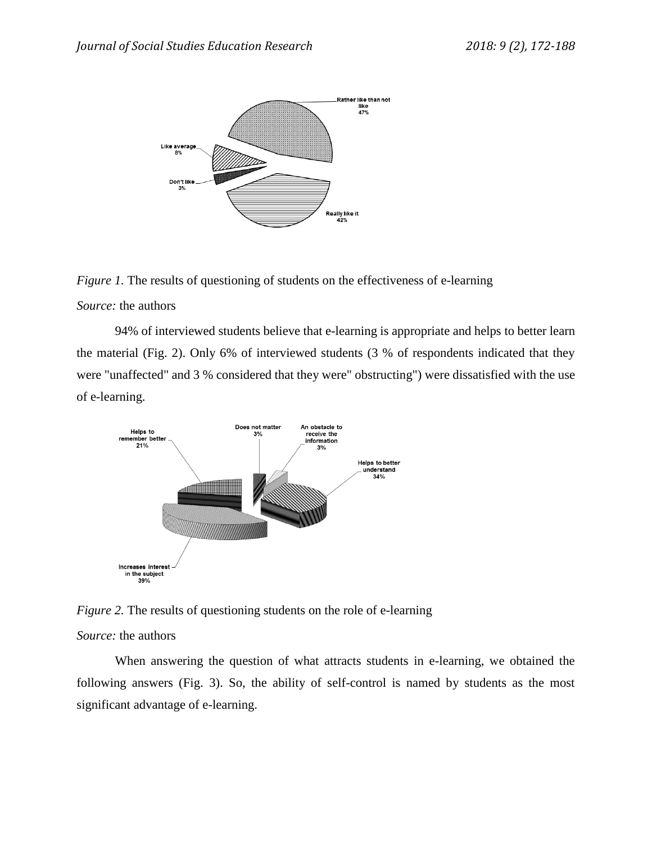

*Figure 1.* The results of questioning of students on the effectiveness of e-learning

### *Source:* the authors

94% of interviewed students believe that e-learning is appropriate and helps to better learn the material (Fig. 2). Only 6% of interviewed students (3 % of respondents indicated that they were "unaffected" and 3 % considered that they were" obstructing") were dissatisfied with the use of e-learning.



*Figure 2.* The results of questioning students on the role of e-learning

## *Source:* the authors

When answering the question of what attracts students in e-learning, we obtained the following answers (Fig. 3). So, the ability of self-control is named by students as the most significant advantage of e-learning.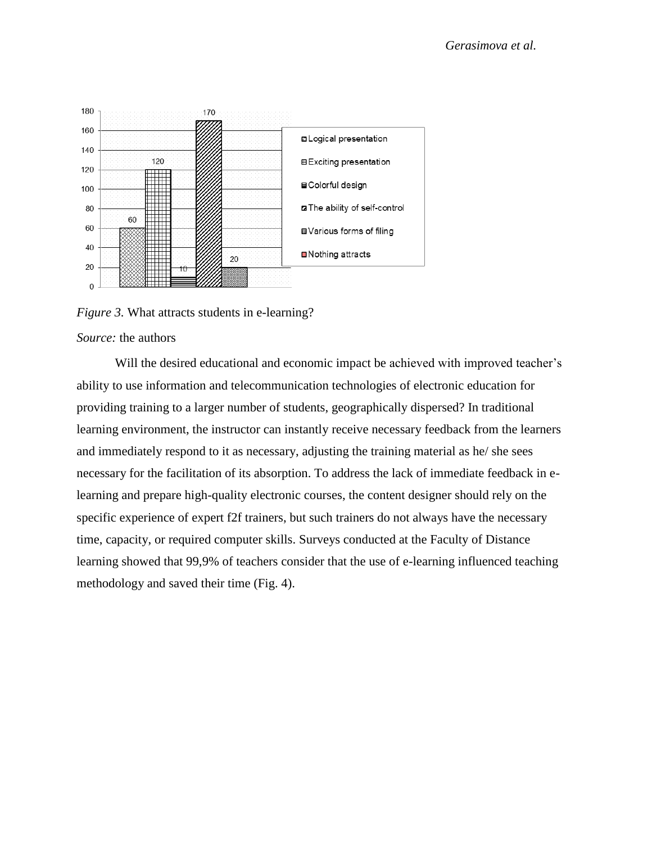

*Figure 3.* What attracts students in e-learning?

### *Source:* the authors

Will the desired educational and economic impact be achieved with improved teacher's ability to use information and telecommunication technologies of electronic education for providing training to a larger number of students, geographically dispersed? In traditional learning environment, the instructor can instantly receive necessary feedback from the learners and immediately respond to it as necessary, adjusting the training material as he/ she sees necessary for the facilitation of its absorption. To address the lack of immediate feedback in elearning and prepare high-quality electronic courses, the content designer should rely on the specific experience of expert f2f trainers, but such trainers do not always have the necessary time, capacity, or required computer skills. Surveys conducted at the Faculty of Distance learning showed that 99,9% of teachers consider that the use of e-learning influenced teaching methodology and saved their time (Fig. 4).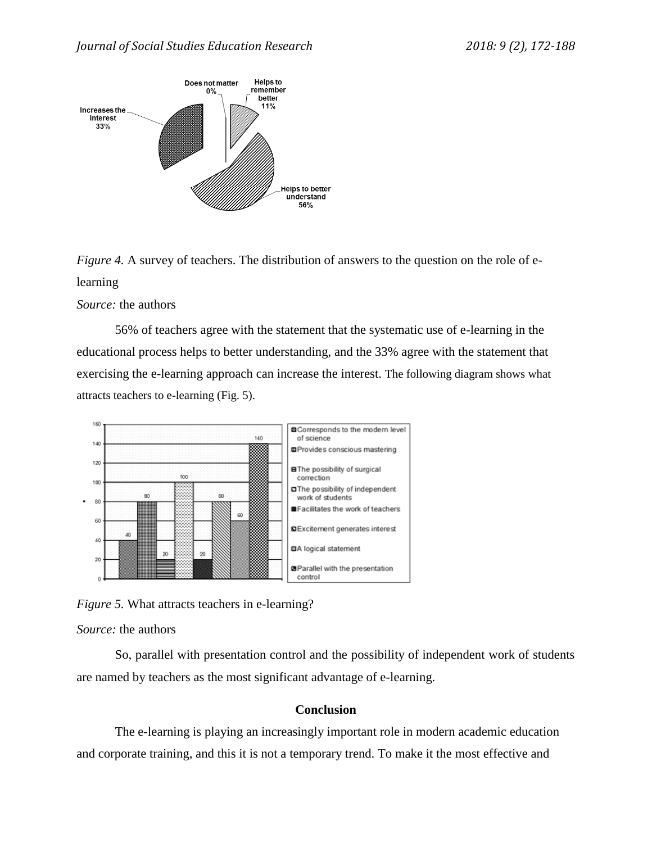

*Figure 4.* A survey of teachers. The distribution of answers to the question on the role of elearning

## *Source:* the authors

56% of teachers agree with the statement that the systematic use of e-learning in the educational process helps to better understanding, and the 33% agree with the statement that exercising the e-learning approach can increase the interest. The following diagram shows what attracts teachers to e-learning (Fig. 5).



*Figure 5.* What attracts teachers in e-learning?

*Source:* the authors

So, parallel with presentation control and the possibility of independent work of students are named by teachers as the most significant advantage of e-learning.

# **Conclusion**

The e-learning is playing an increasingly important role in modern academic education and corporate training, and this it is not a temporary trend. To make it the most effective and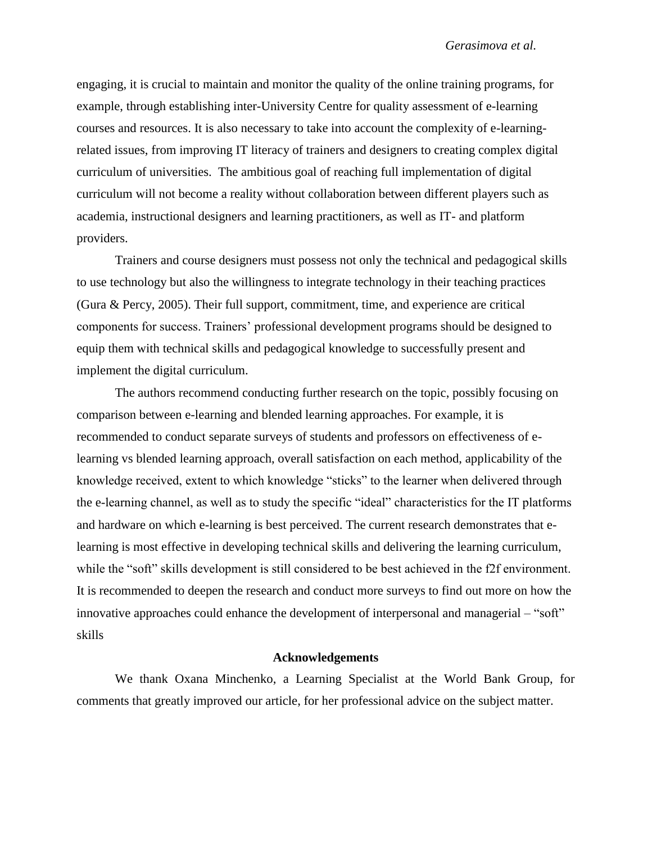engaging, it is crucial to maintain and monitor the quality of the online training programs, for example, through establishing inter-University Centre for quality assessment of e-learning courses and resources. It is also necessary to take into account the complexity of e-learningrelated issues, from improving IT literacy of trainers and designers to creating complex digital curriculum of universities. The ambitious goal of reaching full implementation of digital curriculum will not become a reality without collaboration between different players such as academia, instructional designers and learning practitioners, as well as IT- and platform providers.

Trainers and course designers must possess not only the technical and pedagogical skills to use technology but also the willingness to integrate technology in their teaching practices (Gura & Percy, 2005). Their full support, commitment, time, and experience are critical components for success. Trainers' professional development programs should be designed to equip them with technical skills and pedagogical knowledge to successfully present and implement the digital curriculum.

The authors recommend conducting further research on the topic, possibly focusing on comparison between e-learning and blended learning approaches. For example, it is recommended to conduct separate surveys of students and professors on effectiveness of elearning vs blended learning approach, overall satisfaction on each method, applicability of the knowledge received, extent to which knowledge "sticks" to the learner when delivered through the e-learning channel, as well as to study the specific "ideal" characteristics for the IT platforms and hardware on which e-learning is best perceived. The current research demonstrates that elearning is most effective in developing technical skills and delivering the learning curriculum, while the "soft" skills development is still considered to be best achieved in the f2f environment. It is recommended to deepen the research and conduct more surveys to find out more on how the innovative approaches could enhance the development of interpersonal and managerial – "soft" skills

## **Acknowledgements**

We thank Oxana Minchenko, a Learning Specialist at the World Bank Group, for comments that greatly improved our article, for her professional advice on the subject matter.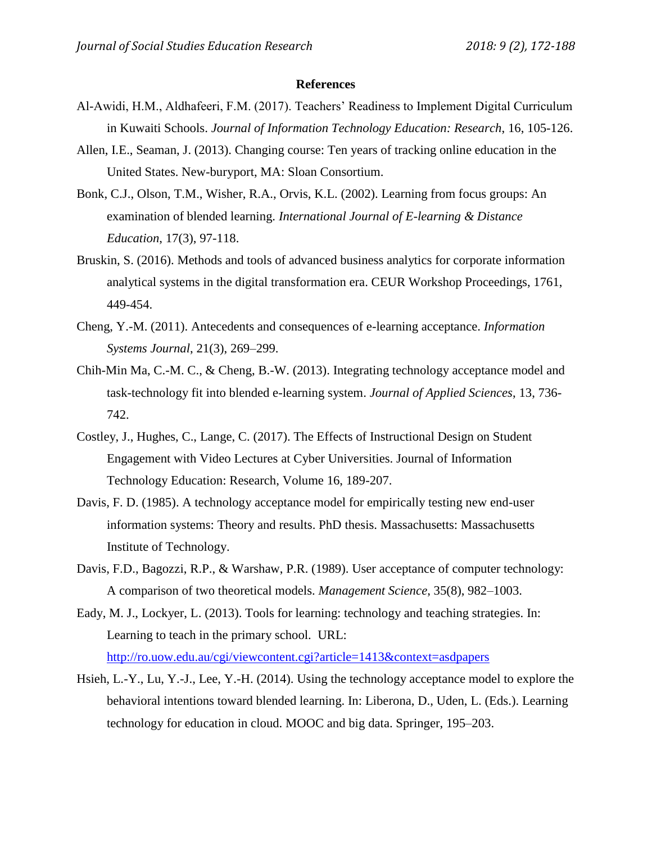#### **References**

- Al-Awidi, H.M., Aldhafeeri, F.M. (2017). Teachers' Readiness to Implement Digital Curriculum in Kuwaiti Schools. *Journal of Information Technology Education: Research*, 16, 105-126.
- Allen, I.E., Seaman, J. (2013). Changing course: Ten years of tracking online education in the United States. New-buryport, MA: Sloan Consortium.
- Bonk, C.J., Olson, T.M., Wisher, R.A., Orvis, K.L. (2002). Learning from focus groups: An examination of blended learning. *International Journal of E-learning & Distance Education*, 17(3), 97-118.
- Bruskin, S. (2016). Methods and tools of advanced business analytics for corporate information analytical systems in the digital transformation era. CEUR Workshop Proceedings, 1761, 449-454.
- Cheng, Y.-M. (2011). Antecedents and consequences of e-learning acceptance. *Information Systems Journal*, 21(3), 269–299.
- Chih-Min Ma, C.-M. C., & Cheng, B.-W. (2013). Integrating technology acceptance model and task-technology fit into blended e-learning system. *Journal of Applied Sciences*, 13, 736- 742.
- Costley, J., Hughes, C., Lange, C. (2017). The Effects of Instructional Design on Student Engagement with Video Lectures at Cyber Universities. Journal of Information Technology Education: Research, Volume 16, 189-207.
- Davis, F. D. (1985). A technology acceptance model for empirically testing new end-user information systems: Theory and results. PhD thesis. Massachusetts: Massachusetts Institute of Technology.
- Davis, F.D., Bagozzi, R.P., & Warshaw, P.R. (1989). User acceptance of computer technology: A comparison of two theoretical models. *Management Science*, 35(8), 982–1003.
- Eady, M. J., Lockyer, L. (2013). Tools for learning: technology and teaching strategies. In: Learning to teach in the primary school. URL: <http://ro.uow.edu.au/cgi/viewcontent.cgi?article=1413&context=asdpapers>
- Hsieh, L.-Y., Lu, Y.-J., Lee, Y.-H. (2014). Using the technology acceptance model to explore the behavioral intentions toward blended learning. In: Liberona, D., Uden, L. (Eds.). Learning technology for education in cloud. MOOC and big data. Springer, 195–203.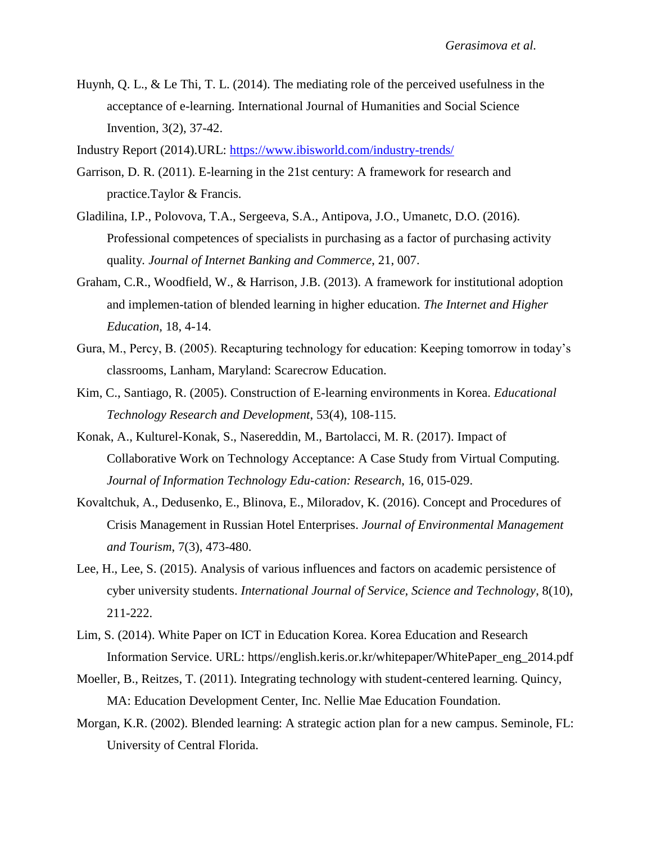Huynh, Q. L., & Le Thi, T. L. (2014). The mediating role of the perceived usefulness in the acceptance of e-learning. International Journal of Humanities and Social Science Invention, 3(2), 37-42.

Industry Report (2014).URL:<https://www.ibisworld.com/industry-trends/>

- Garrison, D. R. (2011). E-learning in the 21st century: A framework for research and practice.Taylor & Francis.
- Gladilina, I.P., Polovova, T.A., Sergeeva, S.A., Antipova, J.O., Umanetc, D.O. (2016). Professional competences of specialists in purchasing as a factor of purchasing activity quality*. Journal of Internet Banking and Commerce*, 21, 007.
- Graham, C.R., Woodfield, W., & Harrison, J.B. (2013). A framework for institutional adoption and implemen-tation of blended learning in higher education. *The Internet and Higher Education*, 18, 4-14.
- Gura, M., Percy, B. (2005). Recapturing technology for education: Keeping tomorrow in today's classrooms, Lanham, Maryland: Scarecrow Education.
- Kim, C., Santiago, R. (2005). Construction of E-learning environments in Korea. *Educational Technology Research and Development*, 53(4), 108-115.
- Konak, A., Kulturel-Konak, S., Nasereddin, M., Bartolacci, M. R. (2017). Impact of Collaborative Work on Technology Acceptance: A Case Study from Virtual Computing. *Journal of Information Technology Edu-cation: Research*, 16, 015-029.
- Kovaltchuk, A., Dedusenko, E., Blinova, E., Miloradov, K. (2016). Concept and Procedures of Crisis Management in Russian Hotel Enterprises. *Journal of Environmental Management and Tourism*, 7(3), 473-480.
- Lee, H., Lee, S. (2015). Analysis of various influences and factors on academic persistence of cyber university students. *International Journal of Service, Science and Technology*, 8(10), 211-222.
- Lim, S. (2014). White Paper on ICT in Education Korea. Korea Education and Research Information Service. URL: https//english.keris.or.kr/whitepaper/WhitePaper\_eng\_2014.pdf
- Moeller, B., Reitzes, T. (2011). Integrating technology with student-centered learning. Quincy, MA: Education Development Center, Inc. Nellie Mae Education Foundation.
- Morgan, K.R. (2002). Blended learning: A strategic action plan for a new campus. Seminole, FL: University of Central Florida.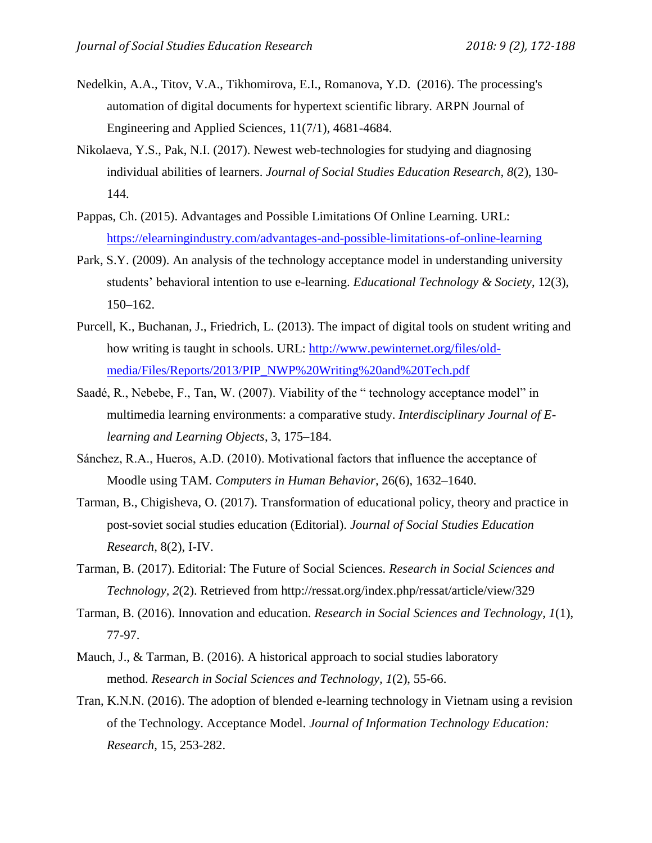- Nedelkin, A.A., Titov, V.A., Tikhomirova, E.I., Romanova, Y.D. (2016). The processing's automation of digital documents for hypertext scientific library. ARPN Journal of Engineering and Applied Sciences, 11(7/1), 4681-4684.
- Nikolaeva, Y.S., Pak, N.I. (2017). Newest web-technologies for studying and diagnosing individual abilities of learners. *Journal of Social Studies Education Research, 8*(2), 130- 144.
- Pappas, Ch. (2015). Advantages and Possible Limitations Of Online Learning. URL: <https://elearningindustry.com/advantages-and-possible-limitations-of-online-learning>
- Park, S.Y. (2009). An analysis of the technology acceptance model in understanding university students' behavioral intention to use e-learning. *Educational Technology & Society*, 12(3), 150–162.
- Purcell, K., Buchanan, J., Friedrich, L. (2013). The impact of digital tools on student writing and how writing is taught in schools. URL: [http://www.pewinternet.org/files/old](http://www.pewinternet.org/files/old-media/Files/Reports/2013/PIP_NWP%20Writing%20and%20Tech.pdf)[media/Files/Reports/2013/PIP\\_NWP%20Writing%20and%20Tech.pdf](http://www.pewinternet.org/files/old-media/Files/Reports/2013/PIP_NWP%20Writing%20and%20Tech.pdf)
- Saadé, R., Nebebe, F., Tan, W. (2007). Viability of the " technology acceptance model" in multimedia learning environments: a comparative study. *Interdisciplinary Journal of Elearning and Learning Objects*, 3, 175–184.
- Sánchez, R.A., Hueros, A.D. (2010). Motivational factors that influence the acceptance of Moodle using TAM. *Computers in Human Behavior*, 26(6), 1632–1640.
- Tarman, B., Chigisheva, O. (2017). Transformation of educational policy, theory and practice in post-soviet social studies education (Editorial). *Journal of Social Studies Education Research*, 8(2), I-IV.
- Tarman, B. (2017). Editorial: The Future of Social Sciences*. Research in Social Sciences and Technology, 2*(2). Retrieved from http://ressat.org/index.php/ressat/article/view/329
- Tarman, B. (2016). Innovation and education. *Research in Social Sciences and Technology, 1*(1), 77-97.
- Mauch, J., & Tarman, B. (2016). A historical approach to social studies laboratory method. *Research in Social Sciences and Technology, 1*(2), 55-66.
- Tran, K.N.N. (2016). The adoption of blended e-learning technology in Vietnam using a revision of the Technology. Acceptance Model. *Journal of Information Technology Education: Research*, 15, 253-282.